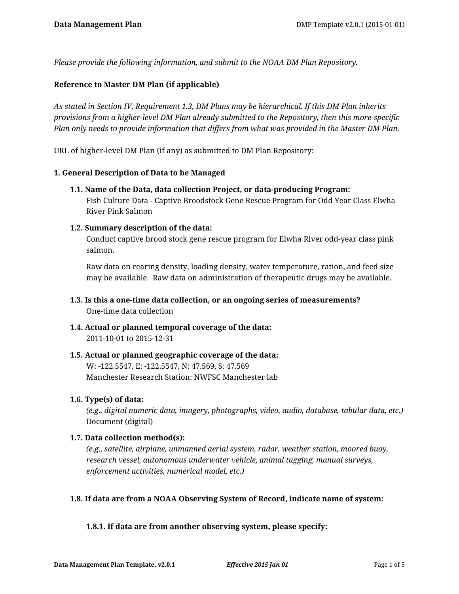*Please provide the following information, and submit to the NOAA DM Plan Repository.*

### **Reference to Master DM Plan (if applicable)**

*As stated in Section IV, Requirement 1.3, DM Plans may be hierarchical. If this DM Plan inherits provisions from a higher-level DM Plan already submitted to the Repository, then this more-specific Plan only needs to provide information that differs from what was provided in the Master DM Plan.*

URL of higher-level DM Plan (if any) as submitted to DM Plan Repository:

### **1. General Description of Data to be Managed**

**1.1. Name of the Data, data collection Project, or data-producing Program:** Fish Culture Data - Captive Broodstock Gene Rescue Program for Odd Year Class Elwha River Pink Salmon

### **1.2. Summary description of the data:**

Conduct captive brood stock gene rescue program for Elwha River odd-year class pink salmon.

Raw data on rearing density, loading density, water temperature, ration, and feed size may be available. Raw data on administration of therapeutic drugs may be available.

- **1.3. Is this a one-time data collection, or an ongoing series of measurements?** One-time data collection
- **1.4. Actual or planned temporal coverage of the data:** 2011-10-01 to 2015-12-31
- **1.5. Actual or planned geographic coverage of the data:** W: -122.5547, E: -122.5547, N: 47.569, S: 47.569 Manchester Research Station: NWFSC Manchester lab

### **1.6. Type(s) of data:**

*(e.g., digital numeric data, imagery, photographs, video, audio, database, tabular data, etc.)* Document (digital)

### **1.7. Data collection method(s):**

*(e.g., satellite, airplane, unmanned aerial system, radar, weather station, moored buoy, research vessel, autonomous underwater vehicle, animal tagging, manual surveys, enforcement activities, numerical model, etc.)*

### **1.8. If data are from a NOAA Observing System of Record, indicate name of system:**

### **1.8.1. If data are from another observing system, please specify:**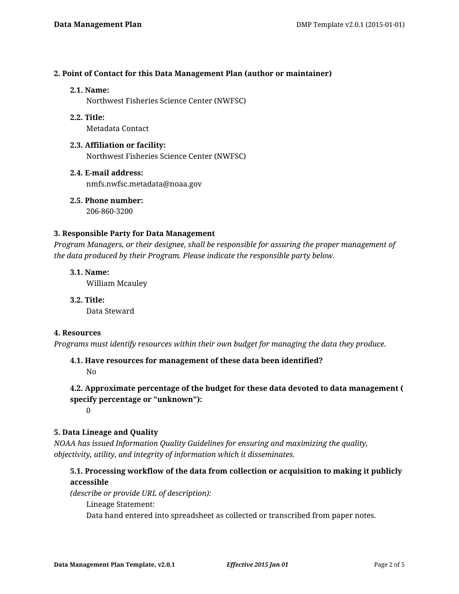### **2. Point of Contact for this Data Management Plan (author or maintainer)**

#### **2.1. Name:**

Northwest Fisheries Science Center (NWFSC)

**2.2. Title:**

Metadata Contact

- **2.3. Affiliation or facility:** Northwest Fisheries Science Center (NWFSC)
- **2.4. E-mail address:** nmfs.nwfsc.metadata@noaa.gov

**2.5. Phone number:** 206-860-3200

### **3. Responsible Party for Data Management**

*Program Managers, or their designee, shall be responsible for assuring the proper management of the data produced by their Program. Please indicate the responsible party below.*

**3.1. Name:** William Mcauley

**3.2. Title:** Data Steward

# **4. Resources**

*Programs must identify resources within their own budget for managing the data they produce.*

**4.1. Have resources for management of these data been identified?**

No

# **4.2. Approximate percentage of the budget for these data devoted to data management ( specify percentage or "unknown"):**

 $\Omega$ 

# **5. Data Lineage and Quality**

*NOAA has issued Information Quality Guidelines for ensuring and maximizing the quality, objectivity, utility, and integrity of information which it disseminates.*

# **5.1. Processing workflow of the data from collection or acquisition to making it publicly accessible**

*(describe or provide URL of description):*

Lineage Statement:

Data hand entered into spreadsheet as collected or transcribed from paper notes.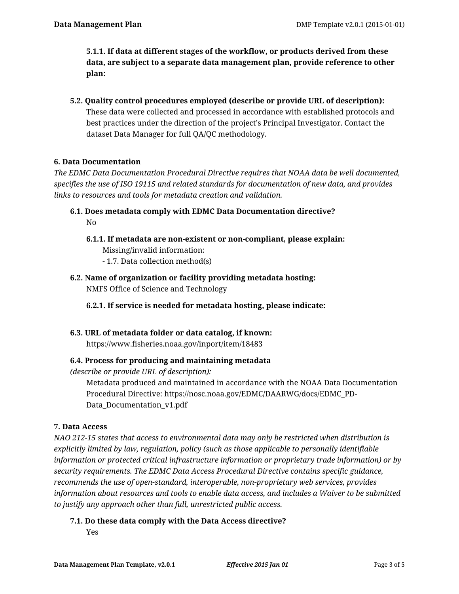**5.1.1. If data at different stages of the workflow, or products derived from these data, are subject to a separate data management plan, provide reference to other plan:**

**5.2. Quality control procedures employed (describe or provide URL of description):** These data were collected and processed in accordance with established protocols and best practices under the direction of the project's Principal Investigator. Contact the dataset Data Manager for full QA/QC methodology.

# **6. Data Documentation**

*The EDMC Data Documentation Procedural Directive requires that NOAA data be well documented, specifies the use of ISO 19115 and related standards for documentation of new data, and provides links to resources and tools for metadata creation and validation.*

- **6.1. Does metadata comply with EDMC Data Documentation directive?** No
	- **6.1.1. If metadata are non-existent or non-compliant, please explain:** Missing/invalid information: - 1.7. Data collection method(s)
- **6.2. Name of organization or facility providing metadata hosting:** NMFS Office of Science and Technology

**6.2.1. If service is needed for metadata hosting, please indicate:**

**6.3. URL of metadata folder or data catalog, if known:** https://www.fisheries.noaa.gov/inport/item/18483

# **6.4. Process for producing and maintaining metadata**

*(describe or provide URL of description):*

Metadata produced and maintained in accordance with the NOAA Data Documentation Procedural Directive: https://nosc.noaa.gov/EDMC/DAARWG/docs/EDMC\_PD-Data\_Documentation\_v1.pdf

### **7. Data Access**

*NAO 212-15 states that access to environmental data may only be restricted when distribution is explicitly limited by law, regulation, policy (such as those applicable to personally identifiable information or protected critical infrastructure information or proprietary trade information) or by security requirements. The EDMC Data Access Procedural Directive contains specific guidance, recommends the use of open-standard, interoperable, non-proprietary web services, provides information about resources and tools to enable data access, and includes a Waiver to be submitted to justify any approach other than full, unrestricted public access.*

**7.1. Do these data comply with the Data Access directive?**

Yes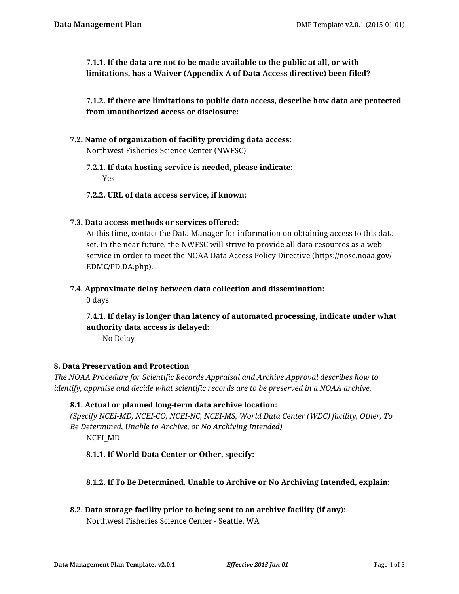**7.1.1. If the data are not to be made available to the public at all, or with limitations, has a Waiver (Appendix A of Data Access directive) been filed?**

**7.1.2. If there are limitations to public data access, describe how data are protected from unauthorized access or disclosure:**

**7.2. Name of organization of facility providing data access:** Northwest Fisheries Science Center (NWFSC)

# **7.2.1. If data hosting service is needed, please indicate:** Yes

- **7.2.2. URL of data access service, if known:**
- **7.3. Data access methods or services offered:**

At this time, contact the Data Manager for information on obtaining access to this data set. In the near future, the NWFSC will strive to provide all data resources as a web service in order to meet the NOAA Data Access Policy Directive (https://nosc.noaa.gov/ EDMC/PD.DA.php).

# **7.4. Approximate delay between data collection and dissemination:**

0 days

**7.4.1. If delay is longer than latency of automated processing, indicate under what authority data access is delayed:**

No Delay

# **8. Data Preservation and Protection**

*The NOAA Procedure for Scientific Records Appraisal and Archive Approval describes how to identify, appraise and decide what scientific records are to be preserved in a NOAA archive.*

# **8.1. Actual or planned long-term data archive location:**

*(Specify NCEI-MD, NCEI-CO, NCEI-NC, NCEI-MS, World Data Center (WDC) facility, Other, To Be Determined, Unable to Archive, or No Archiving Intended)* NCEI\_MD

# **8.1.1. If World Data Center or Other, specify:**

# **8.1.2. If To Be Determined, Unable to Archive or No Archiving Intended, explain:**

**8.2. Data storage facility prior to being sent to an archive facility (if any):** Northwest Fisheries Science Center - Seattle, WA